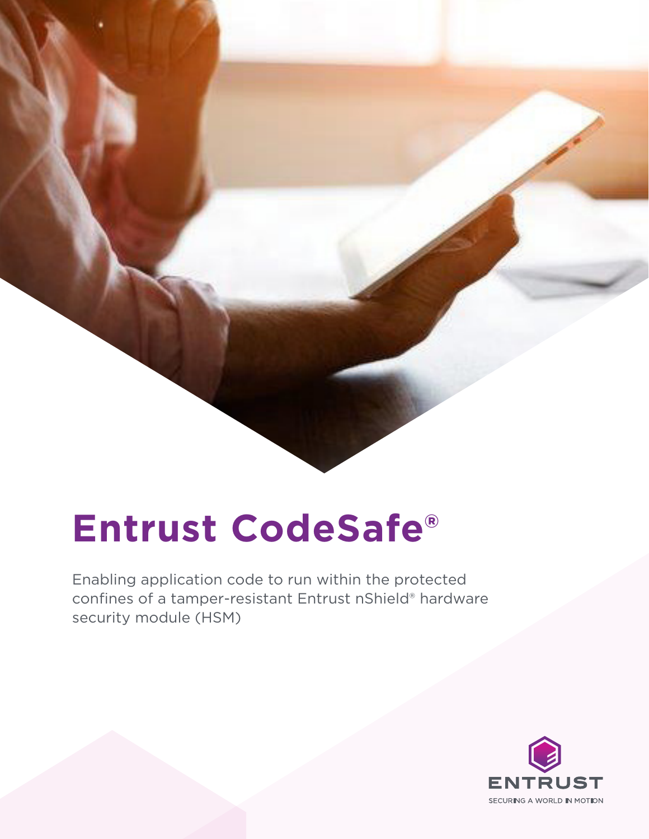

# **Entrust CodeSafe®**

Enabling application code to run within the protected confines of a tamper-resistant Entrust nShield® hardware security module (HSM)

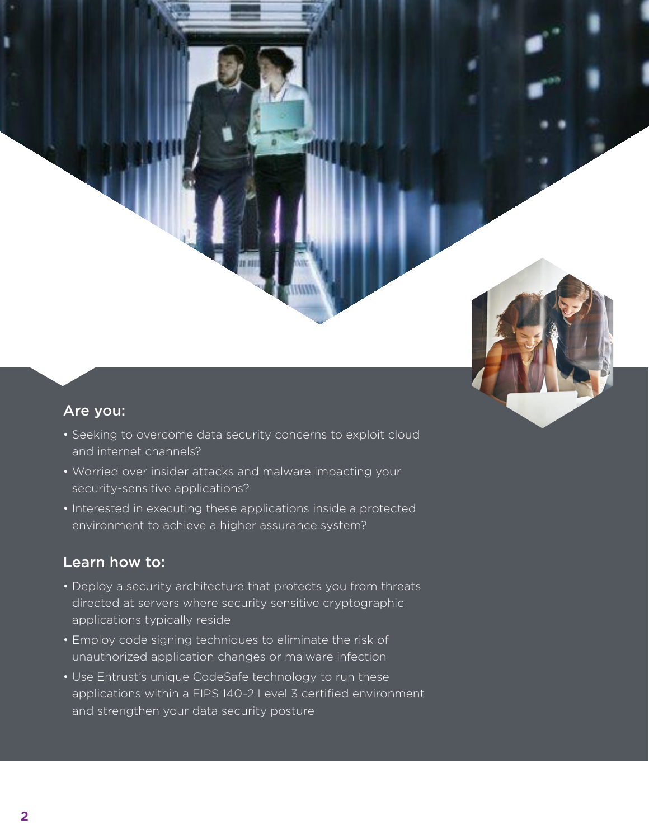

#### Are you:

- Seeking to overcome data security concerns to exploit cloud and internet channels?
- Worried over insider attacks and malware impacting your security-sensitive applications?
- Interested in executing these applications inside a protected environment to achieve a higher assurance system?

#### Learn how to:

- Deploy a security architecture that protects you from threats directed at servers where security sensitive cryptographic applications typically reside
- Employ code signing techniques to eliminate the risk of unauthorized application changes or malware infection
- Use Entrust's unique CodeSafe technology to run these applications within a FIPS 140-2 Level 3 certified environment and strengthen your data security posture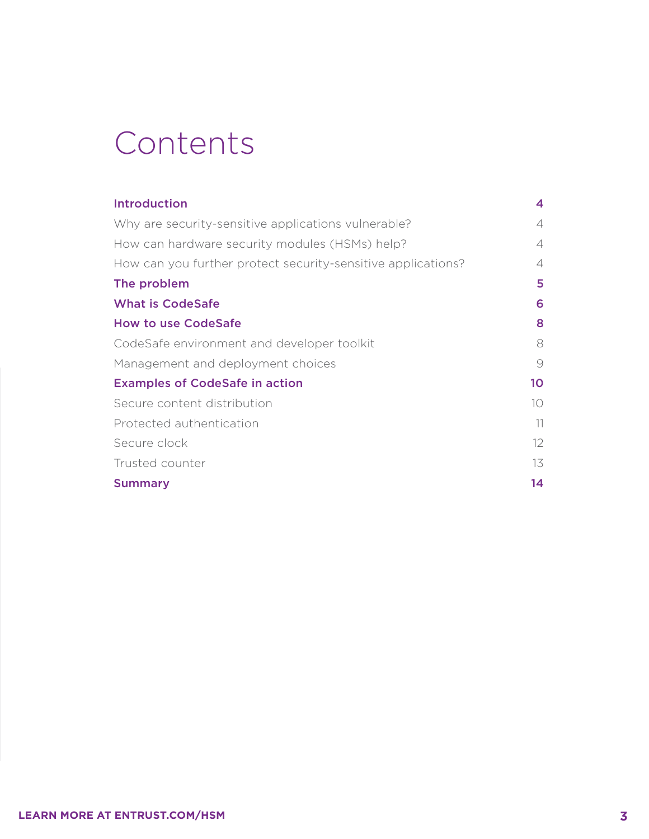### Contents

| <b>Introduction</b>                                          | 4                 |
|--------------------------------------------------------------|-------------------|
| Why are security-sensitive applications vulnerable?          | 4                 |
| How can hardware security modules (HSMs) help?               | 4                 |
| How can you further protect security-sensitive applications? | 4                 |
| The problem                                                  | 5                 |
| <b>What is CodeSafe</b>                                      | 6                 |
| <b>How to use CodeSafe</b>                                   | 8                 |
| CodeSafe environment and developer toolkit                   | 8                 |
| Management and deployment choices                            | 9                 |
| <b>Examples of CodeSafe in action</b>                        | 10                |
| Secure content distribution                                  | 10                |
| Protected authentication                                     | 11                |
| Secure clock                                                 | $12 \overline{ }$ |
| Trusted counter                                              | 13                |
| <b>Summary</b>                                               | 14                |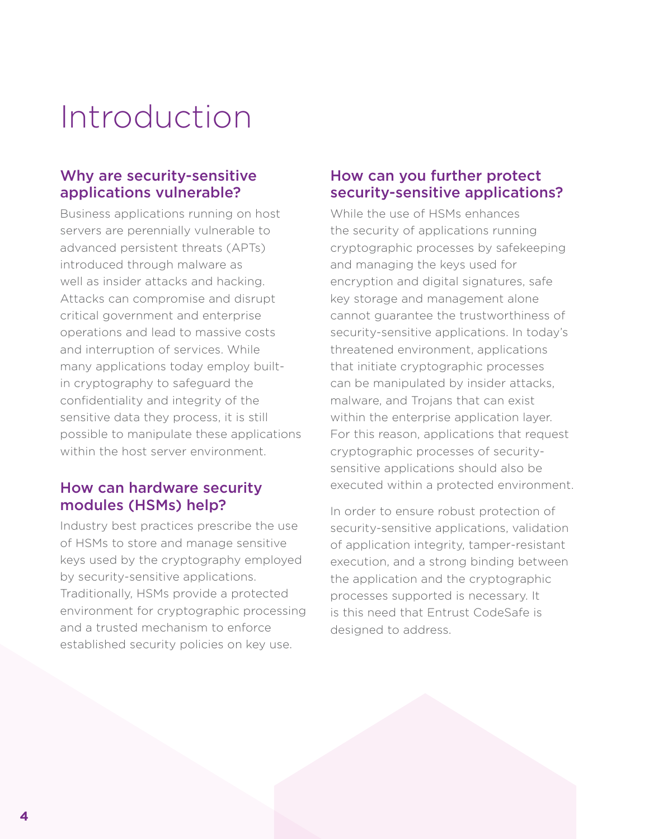### <span id="page-3-0"></span>Introduction

### Why are security-sensitive applications vulnerable?

Business applications running on host servers are perennially vulnerable to advanced persistent threats (APTs) introduced through malware as well as insider attacks and hacking. Attacks can compromise and disrupt critical government and enterprise operations and lead to massive costs and interruption of services. While many applications today employ builtin cryptography to safeguard the confidentiality and integrity of the sensitive data they process, it is still possible to manipulate these applications within the host server environment.

#### How can hardware security modules (HSMs) help?

Industry best practices prescribe the use of HSMs to store and manage sensitive keys used by the cryptography employed by security-sensitive applications. Traditionally, HSMs provide a protected environment for cryptographic processing and a trusted mechanism to enforce established security policies on key use.

#### How can you further protect security-sensitive applications?

While the use of HSMs enhances the security of applications running cryptographic processes by safekeeping and managing the keys used for encryption and digital signatures, safe key storage and management alone cannot guarantee the trustworthiness of security-sensitive applications. In today's threatened environment, applications that initiate cryptographic processes can be manipulated by insider attacks, malware, and Trojans that can exist within the enterprise application layer. For this reason, applications that request cryptographic processes of securitysensitive applications should also be executed within a protected environment.

In order to ensure robust protection of security-sensitive applications, validation of application integrity, tamper-resistant execution, and a strong binding between the application and the cryptographic processes supported is necessary. It is this need that Entrust CodeSafe is designed to address.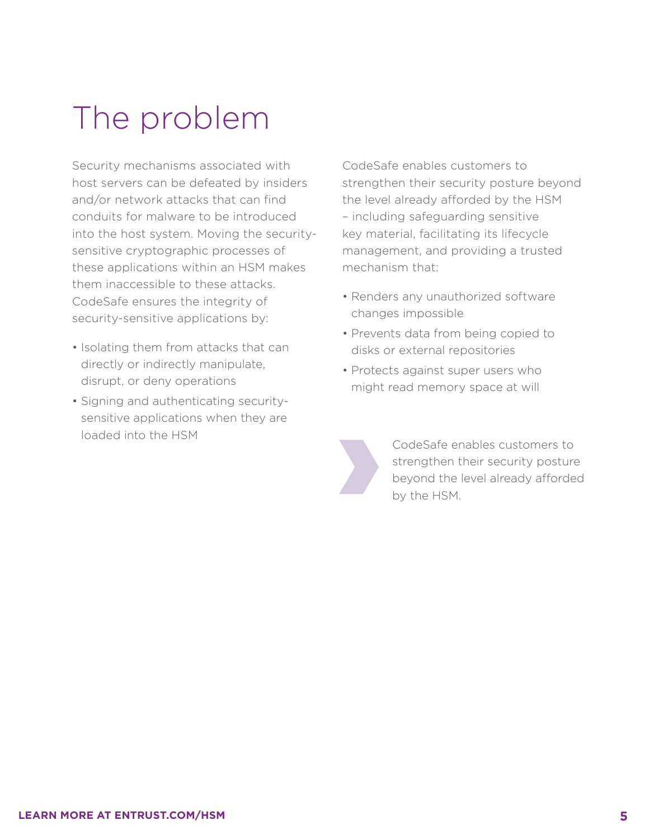### <span id="page-4-0"></span>The problem

Security mechanisms associated with host servers can be defeated by insiders and/or network attacks that can find conduits for malware to be introduced into the host system. Moving the securitysensitive cryptographic processes of these applications within an HSM makes them inaccessible to these attacks. CodeSafe ensures the integrity of security-sensitive applications by:

- Isolating them from attacks that can directly or indirectly manipulate, disrupt, or deny operations
- Signing and authenticating securitysensitive applications when they are loaded into the HSM

CodeSafe enables customers to strengthen their security posture beyond the level already afforded by the HSM – including safeguarding sensitive key material, facilitating its lifecycle management, and providing a trusted mechanism that:

- Renders any unauthorized software changes impossible
- Prevents data from being copied to disks or external repositories
- Protects against super users who might read memory space at will



CodeSafe enables customers to strengthen their security posture beyond the level already afforded by the HSM.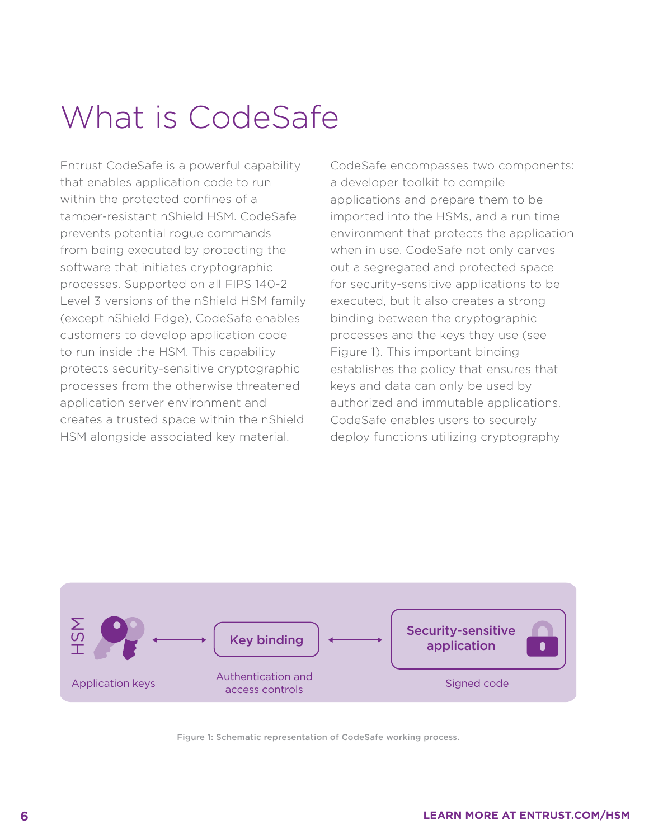## <span id="page-5-0"></span>What is CodeSafe

Entrust CodeSafe is a powerful capability that enables application code to run within the protected confines of a tamper-resistant nShield HSM. CodeSafe prevents potential rogue commands from being executed by protecting the software that initiates cryptographic processes. Supported on all FIPS 140-2 Level 3 versions of the nShield HSM family (except nShield Edge), CodeSafe enables customers to develop application code to run inside the HSM. This capability protects security-sensitive cryptographic processes from the otherwise threatened application server environment and creates a trusted space within the nShield HSM alongside associated key material.

CodeSafe encompasses two components: a developer toolkit to compile applications and prepare them to be imported into the HSMs, and a run time environment that protects the application when in use. CodeSafe not only carves out a segregated and protected space for security-sensitive applications to be executed, but it also creates a strong binding between the cryptographic processes and the keys they use (see Figure 1). This important binding establishes the policy that ensures that keys and data can only be used by authorized and immutable applications. CodeSafe enables users to securely deploy functions utilizing cryptography



Figure 1: Schematic representation of CodeSafe working process.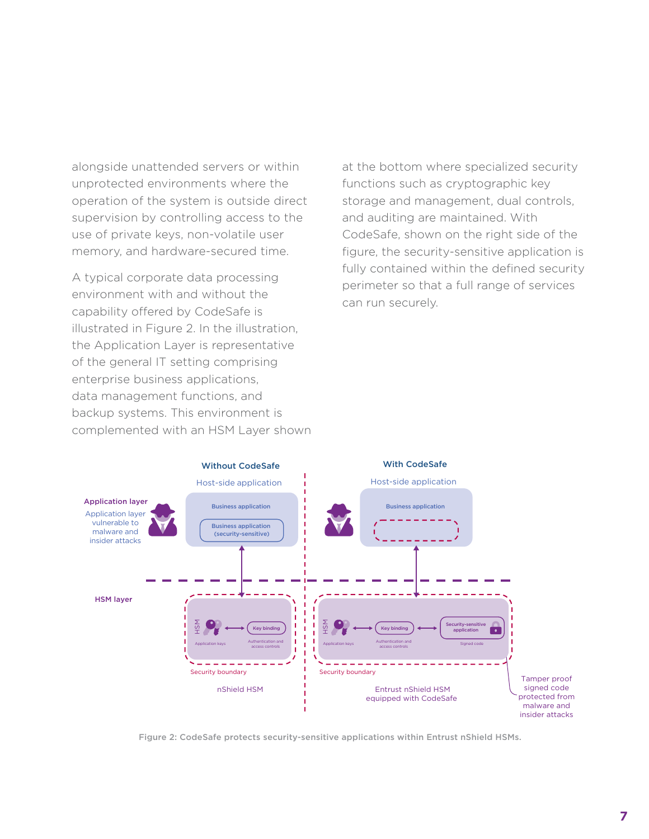alongside unattended servers or within unprotected environments where the operation of the system is outside direct supervision by controlling access to the use of private keys, non-volatile user memory, and hardware-secured time.

A typical corporate data processing environment with and without the capability offered by CodeSafe is illustrated in Figure 2. In the illustration, the Application Layer is representative of the general IT setting comprising enterprise business applications, data management functions, and backup systems. This environment is complemented with an HSM Layer shown at the bottom where specialized security functions such as cryptographic key storage and management, dual controls, and auditing are maintained. With CodeSafe, shown on the right side of the figure, the security-sensitive application is fully contained within the defined security perimeter so that a full range of services can run securely.



Figure 2: CodeSafe protects security-sensitive applications within Entrust nShield HSMs.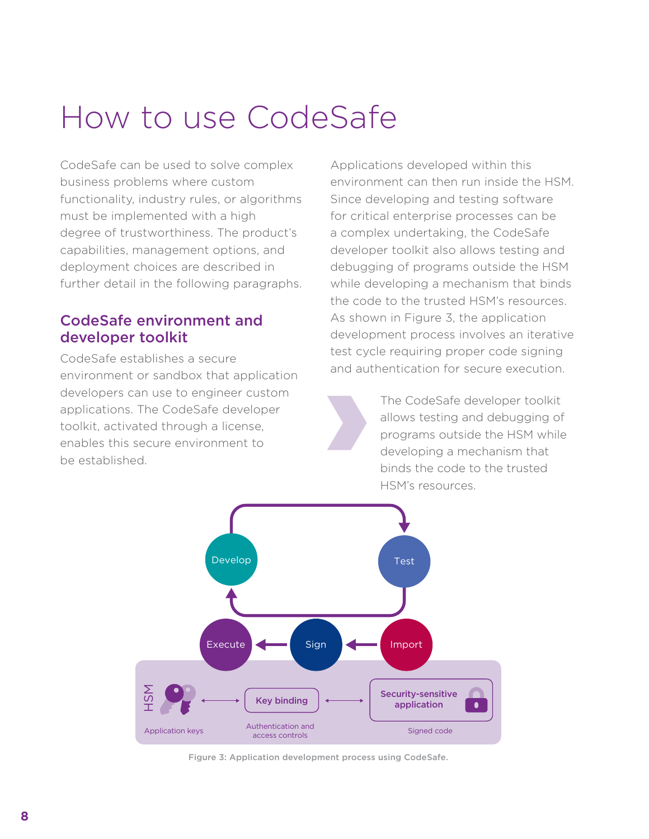### <span id="page-7-0"></span>How to use CodeSafe

CodeSafe can be used to solve complex business problems where custom functionality, industry rules, or algorithms must be implemented with a high degree of trustworthiness. The product's capabilities, management options, and deployment choices are described in further detail in the following paragraphs.

#### CodeSafe environment and developer toolkit

CodeSafe establishes a secure environment or sandbox that application developers can use to engineer custom applications. The CodeSafe developer toolkit, activated through a license, enables this secure environment to be established.

Applications developed within this environment can then run inside the HSM. Since developing and testing software for critical enterprise processes can be a complex undertaking, the CodeSafe developer toolkit also allows testing and debugging of programs outside the HSM while developing a mechanism that binds the code to the trusted HSM's resources. As shown in Figure 3, the application development process involves an iterative test cycle requiring proper code signing and authentication for secure execution.

The CodeSafe developer toolkit allows testing and debugging of programs outside the HSM while developing a mechanism that binds the code to the trusted HSM's resources.



Figure 3: Application development process using CodeSafe.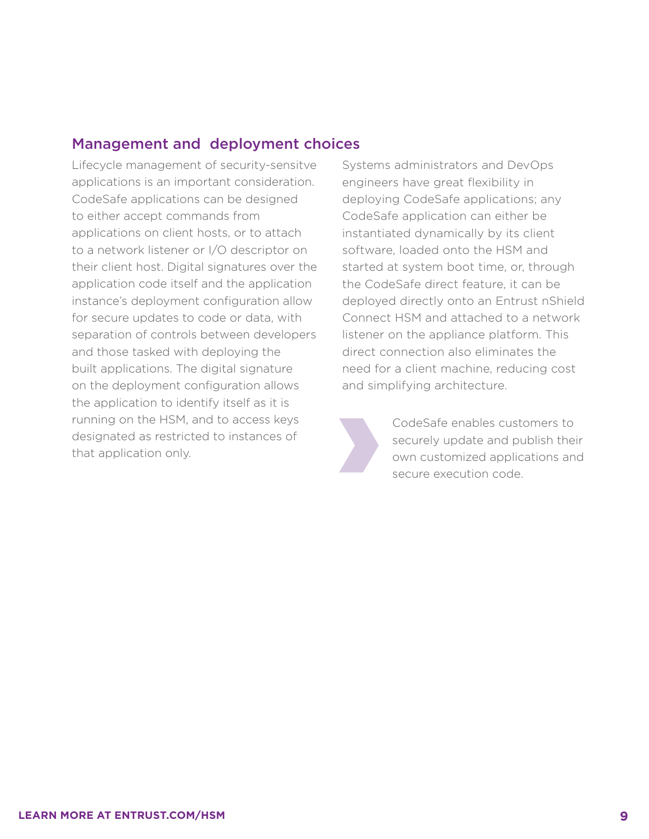### <span id="page-8-0"></span>Management and deployment choices

Lifecycle management of security-sensitve applications is an important consideration. CodeSafe applications can be designed to either accept commands from applications on client hosts, or to attach to a network listener or I/O descriptor on their client host. Digital signatures over the application code itself and the application instance's deployment configuration allow for secure updates to code or data, with separation of controls between developers and those tasked with deploying the built applications. The digital signature on the deployment configuration allows the application to identify itself as it is running on the HSM, and to access keys designated as restricted to instances of that application only.

Systems administrators and DevOps engineers have great flexibility in deploying CodeSafe applications; any CodeSafe application can either be instantiated dynamically by its client software, loaded onto the HSM and started at system boot time, or, through the CodeSafe direct feature, it can be deployed directly onto an Entrust nShield Connect HSM and attached to a network listener on the appliance platform. This direct connection also eliminates the need for a client machine, reducing cost and simplifying architecture.

> CodeSafe enables customers to securely update and publish their own customized applications and secure execution code.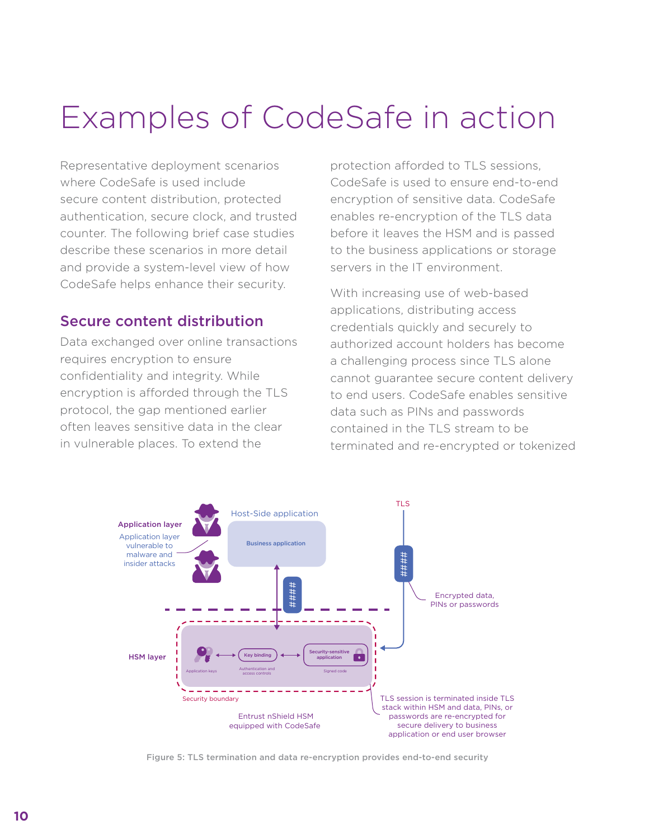### <span id="page-9-0"></span>Examples of CodeSafe in action

Representative deployment scenarios where CodeSafe is used include secure content distribution, protected authentication, secure clock, and trusted counter. The following brief case studies describe these scenarios in more detail and provide a system-level view of how CodeSafe helps enhance their security.

#### Secure content distribution

Data exchanged over online transactions requires encryption to ensure confidentiality and integrity. While encryption is afforded through the TLS protocol, the gap mentioned earlier often leaves sensitive data in the clear in vulnerable places. To extend the

protection afforded to TLS sessions, CodeSafe is used to ensure end-to-end encryption of sensitive data. CodeSafe enables re-encryption of the TLS data before it leaves the HSM and is passed to the business applications or storage servers in the IT environment.

With increasing use of web-based applications, distributing access credentials quickly and securely to authorized account holders has become a challenging process since TLS alone cannot guarantee secure content delivery to end users. CodeSafe enables sensitive data such as PINs and passwords contained in the TLS stream to be terminated and re-encrypted or tokenized



Figure 5: TLS termination and data re-encryption provides end-to-end security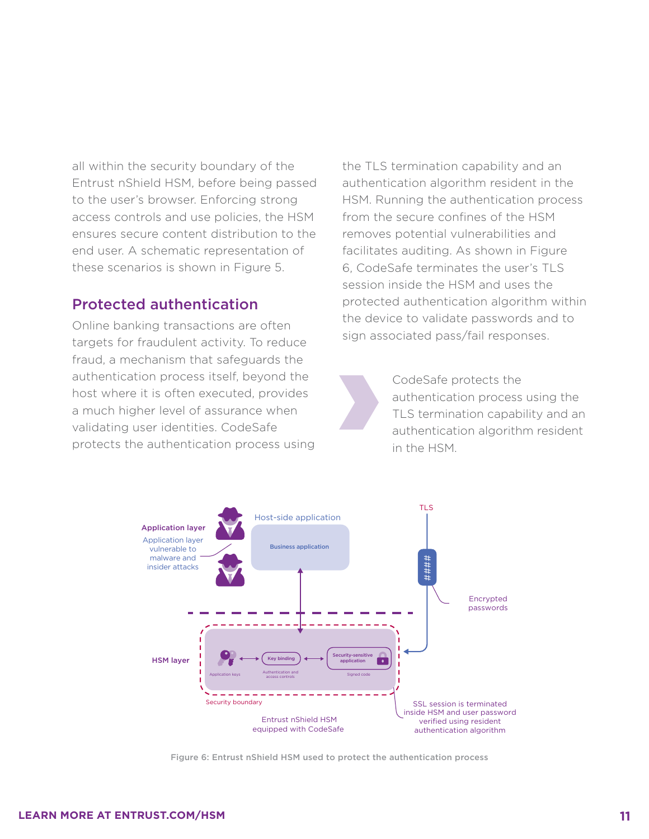<span id="page-10-0"></span>all within the security boundary of the Entrust nShield HSM, before being passed to the user's browser. Enforcing strong access controls and use policies, the HSM ensures secure content distribution to the end user. A schematic representation of these scenarios is shown in Figure 5.

#### Protected authentication

Online banking transactions are often targets for fraudulent activity. To reduce fraud, a mechanism that safeguards the authentication process itself, beyond the host where it is often executed, provides a much higher level of assurance when validating user identities. CodeSafe protects the authentication process using the TLS termination capability and an authentication algorithm resident in the HSM. Running the authentication process from the secure confines of the HSM removes potential vulnerabilities and facilitates auditing. As shown in Figure 6, CodeSafe terminates the user's TLS session inside the HSM and uses the protected authentication algorithm within the device to validate passwords and to sign associated pass/fail responses.

> CodeSafe protects the authentication process using the TLS termination capability and an authentication algorithm resident in the HSM.



Figure 6: Entrust nShield HSM used to protect the authentication process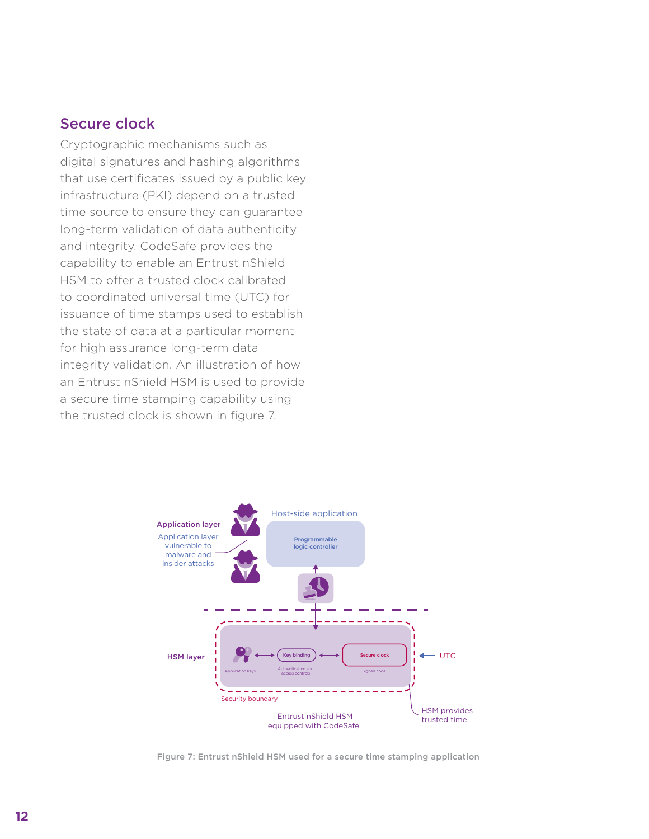#### <span id="page-11-0"></span>Secure clock

Cryptographic mechanisms such as digital signatures and hashing algorithms that use certificates issued by a public key infrastructure (PKI) depend on a trusted time source to ensure they can guarantee long-term validation of data authenticity and integrity. CodeSafe provides the capability to enable an Entrust nShield HSM to offer a trusted clock calibrated to coordinated universal time (UTC) for issuance of time stamps used to establish the state of data at a particular moment for high assurance long-term data integrity validation. An illustration of how an Entrust nShield HSM is used to provide a secure time stamping capability using the trusted clock is shown in figure 7.



Figure 7: Entrust nShield HSM used for a secure time stamping application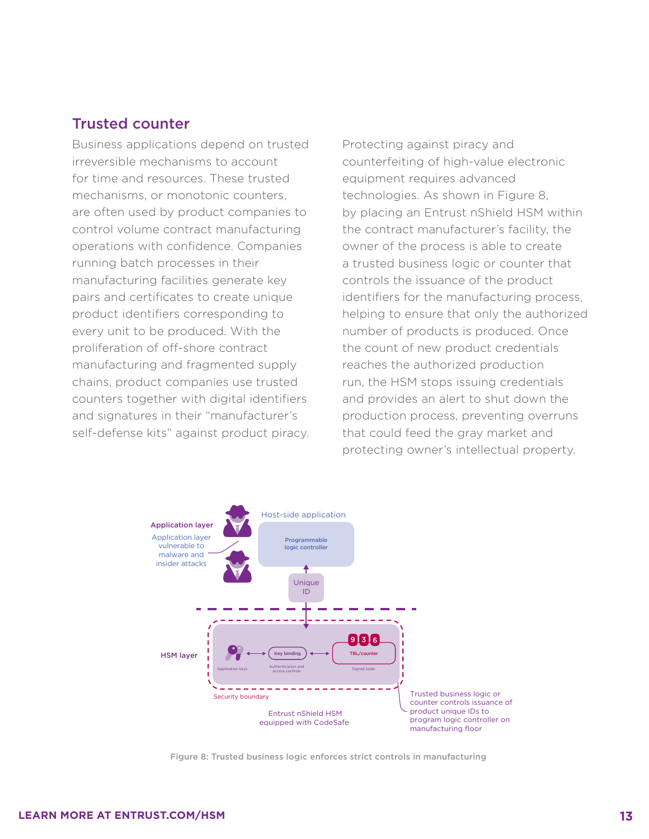#### <span id="page-12-0"></span>Trusted counter

Business applications depend on trusted irreversible mechanisms to account for time and resources. These trusted mechanisms, or monotonic counters, are often used by product companies to control volume contract manufacturing operations with confidence. Companies running batch processes in their manufacturing facilities generate key pairs and certificates to create unique product identifiers corresponding to every unit to be produced. With the proliferation of off-shore contract manufacturing and fragmented supply chains, product companies use trusted counters together with digital identifiers and signatures in their "manufacturer's self-defense kits" against product piracy. Protecting against piracy and counterfeiting of high-value electronic equipment requires advanced technologies. As shown in Figure 8, by placing an Entrust nShield HSM within the contract manufacturer's facility, the owner of the process is able to create a trusted business logic or counter that controls the issuance of the product identifiers for the manufacturing process, helping to ensure that only the authorized number of products is produced. Once the count of new product credentials reaches the authorized production run, the HSM stops issuing credentials and provides an alert to shut down the production process, preventing overruns that could feed the gray market and protecting owner's intellectual property.



Figure 8: Trusted business logic enforces strict controls in manufacturing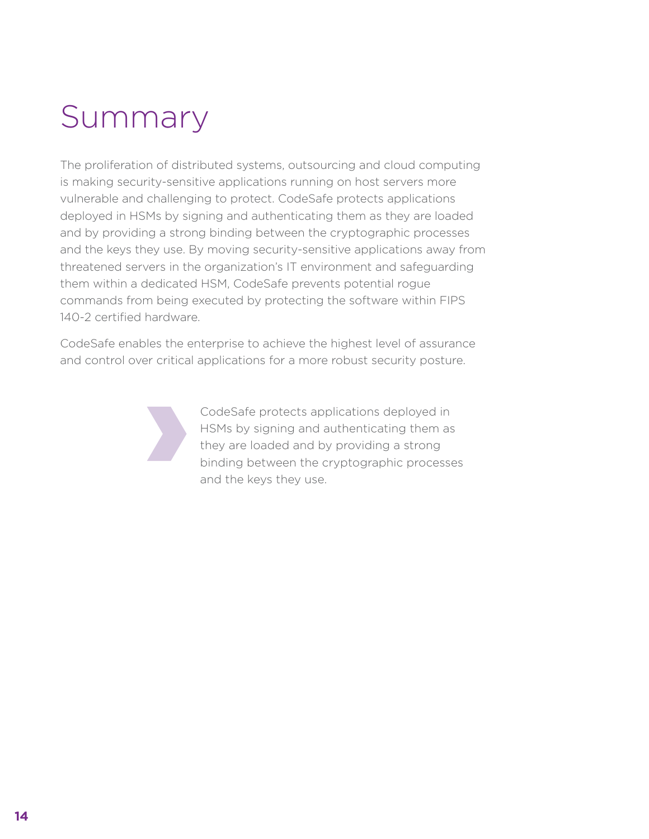### <span id="page-13-0"></span>Summary

The proliferation of distributed systems, outsourcing and cloud computing is making security-sensitive applications running on host servers more vulnerable and challenging to protect. CodeSafe protects applications deployed in HSMs by signing and authenticating them as they are loaded and by providing a strong binding between the cryptographic processes and the keys they use. By moving security-sensitive applications away from threatened servers in the organization's IT environment and safeguarding them within a dedicated HSM, CodeSafe prevents potential rogue commands from being executed by protecting the software within FIPS 140-2 certified hardware.

CodeSafe enables the enterprise to achieve the highest level of assurance and control over critical applications for a more robust security posture.



CodeSafe protects applications deployed in HSMs by signing and authenticating them as they are loaded and by providing a strong binding between the cryptographic processes and the keys they use.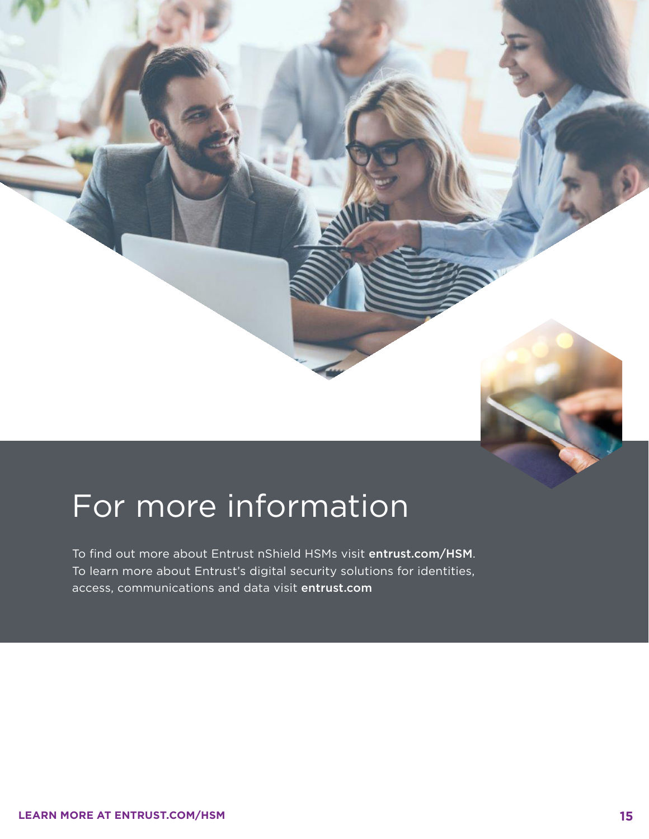### For more information

To find out more about Entrust nShield HSMs visit [entrust.com/HSM](http://www.entrust.com/hsm). To learn more about Entrust's digital security solutions for identities, access, communications and data visit [entrust.com](http://www.entrust.com)